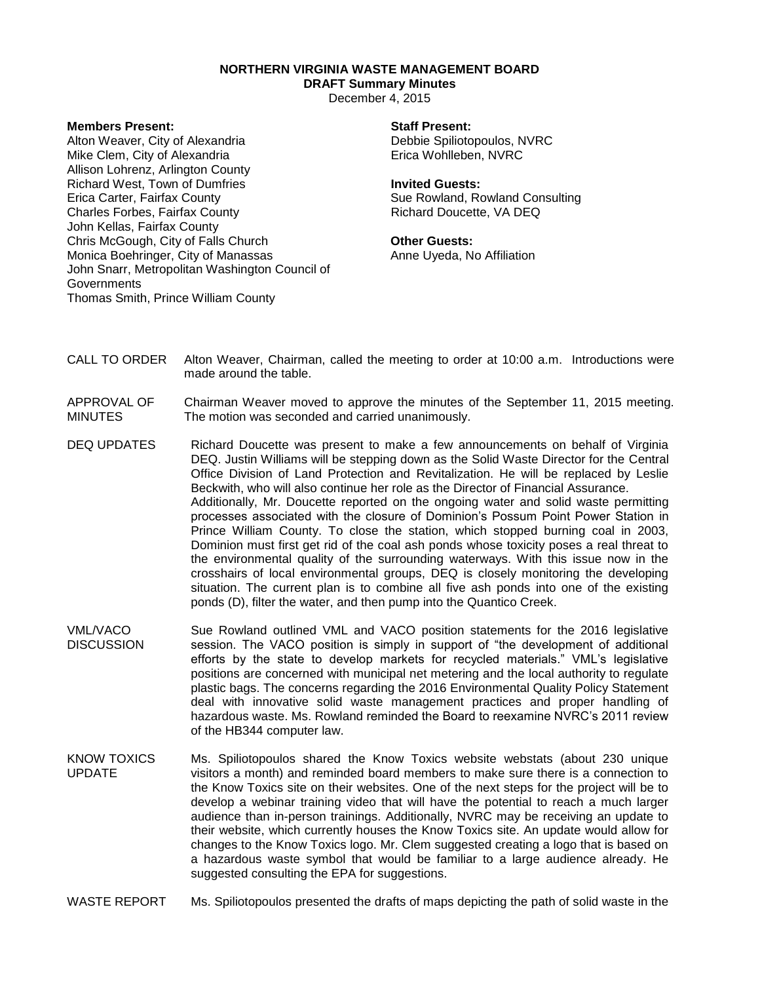## **NORTHERN VIRGINIA WASTE MANAGEMENT BOARD**

# **DRAFT Summary Minutes**

December 4, 2015

### **Members Present:**

Alton Weaver, City of Alexandria Mike Clem, City of Alexandria Allison Lohrenz, Arlington County Richard West, Town of Dumfries Erica Carter, Fairfax County Charles Forbes, Fairfax County John Kellas, Fairfax County Chris McGough, City of Falls Church Monica Boehringer, City of Manassas John Snarr, Metropolitan Washington Council of **Governments** Thomas Smith, Prince William County

#### **Staff Present:**

Debbie Spiliotopoulos, NVRC Erica Wohlleben, NVRC

#### **Invited Guests:**

Sue Rowland, Rowland Consulting Richard Doucette, VA DEQ

### **Other Guests:**

Anne Uyeda, No Affiliation

- CALL TO ORDER Alton Weaver, Chairman, called the meeting to order at 10:00 a.m. Introductions were made around the table.
- APPROVAL OF MINUTES Chairman Weaver moved to approve the minutes of the September 11, 2015 meeting. The motion was seconded and carried unanimously.
- DEQ UPDATES Richard Doucette was present to make a few announcements on behalf of Virginia DEQ. Justin Williams will be stepping down as the Solid Waste Director for the Central Office Division of Land Protection and Revitalization. He will be replaced by Leslie Beckwith, who will also continue her role as the Director of Financial Assurance. Additionally, Mr. Doucette reported on the ongoing water and solid waste permitting processes associated with the closure of Dominion's Possum Point Power Station in Prince William County. To close the station, which stopped burning coal in 2003, Dominion must first get rid of the coal ash ponds whose toxicity poses a real threat to the environmental quality of the surrounding waterways. With this issue now in the crosshairs of local environmental groups, DEQ is closely monitoring the developing situation. The current plan is to combine all five ash ponds into one of the existing ponds (D), filter the water, and then pump into the Quantico Creek.
- VML/VACO **DISCUSSION** Sue Rowland outlined VML and VACO position statements for the 2016 legislative session. The VACO position is simply in support of "the development of additional efforts by the state to develop markets for recycled materials." VML's legislative positions are concerned with municipal net metering and the local authority to regulate plastic bags. The concerns regarding the 2016 Environmental Quality Policy Statement deal with innovative solid waste management practices and proper handling of hazardous waste. Ms. Rowland reminded the Board to reexamine NVRC's 2011 review of the HB344 computer law.
- KNOW TOXICS UPDATE Ms. Spiliotopoulos shared the Know Toxics website webstats (about 230 unique visitors a month) and reminded board members to make sure there is a connection to the Know Toxics site on their websites. One of the next steps for the project will be to develop a webinar training video that will have the potential to reach a much larger audience than in-person trainings. Additionally, NVRC may be receiving an update to their website, which currently houses the Know Toxics site. An update would allow for changes to the Know Toxics logo. Mr. Clem suggested creating a logo that is based on a hazardous waste symbol that would be familiar to a large audience already. He suggested consulting the EPA for suggestions.
- WASTE REPORT Ms. Spiliotopoulos presented the drafts of maps depicting the path of solid waste in the